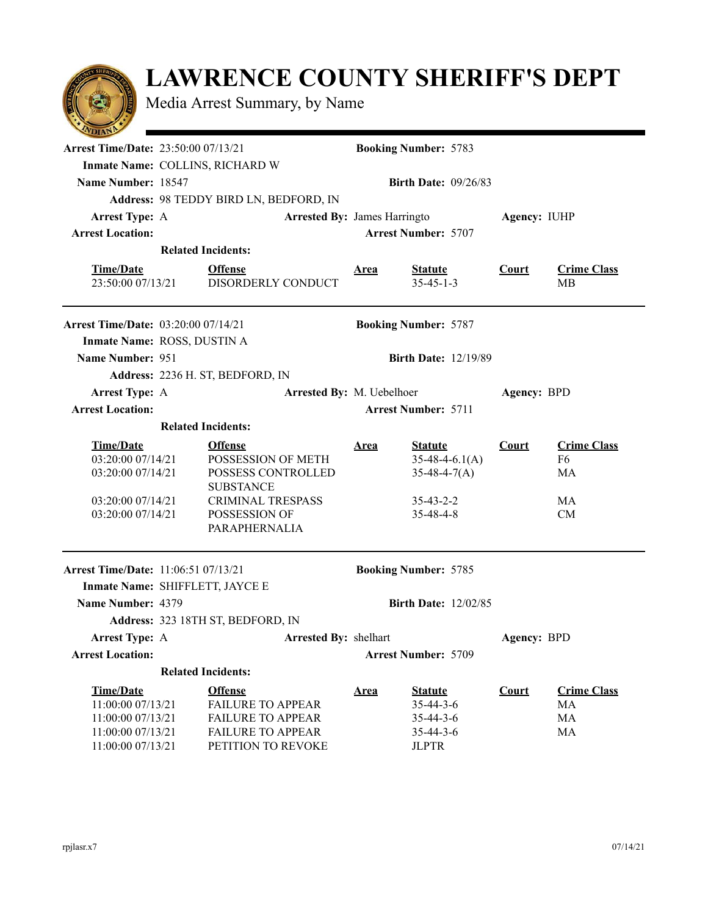## **LAWRENCE COUNTY SHERIFF'S DEPT**

Media Arrest Summary, by Name

| $\sim$                                     |                                            |                          |                              |                                     |              |                          |  |  |  |
|--------------------------------------------|--------------------------------------------|--------------------------|------------------------------|-------------------------------------|--------------|--------------------------|--|--|--|
| <b>Arrest Time/Date: 23:50:00 07/13/21</b> |                                            |                          | <b>Booking Number: 5783</b>  |                                     |              |                          |  |  |  |
|                                            | Inmate Name: COLLINS, RICHARD W            |                          |                              |                                     |              |                          |  |  |  |
| Name Number: 18547                         |                                            |                          |                              | <b>Birth Date: 09/26/83</b>         |              |                          |  |  |  |
|                                            | Address: 98 TEDDY BIRD LN, BEDFORD, IN     |                          |                              |                                     |              |                          |  |  |  |
| <b>Arrest Type: A</b>                      |                                            |                          | Arrested By: James Harringto |                                     | Agency: IUHP |                          |  |  |  |
| <b>Arrest Location:</b>                    |                                            |                          | <b>Arrest Number: 5707</b>   |                                     |              |                          |  |  |  |
|                                            | <b>Related Incidents:</b>                  |                          |                              |                                     |              |                          |  |  |  |
| <b>Time/Date</b><br>23:50:00 07/13/21      | <b>Offense</b>                             | DISORDERLY CONDUCT       | Area                         | <b>Statute</b><br>$35 - 45 - 1 - 3$ | Court        | <b>Crime Class</b><br>MВ |  |  |  |
| <b>Arrest Time/Date: 03:20:00 07/14/21</b> |                                            |                          |                              | <b>Booking Number: 5787</b>         |              |                          |  |  |  |
|                                            | Inmate Name: ROSS, DUSTIN A                |                          |                              |                                     |              |                          |  |  |  |
| Name Number: 951                           |                                            |                          |                              | <b>Birth Date: 12/19/89</b>         |              |                          |  |  |  |
|                                            | Address: 2236 H. ST, BEDFORD, IN           |                          |                              |                                     |              |                          |  |  |  |
| <b>Arrest Type: A</b>                      | Arrested By: M. Uebelhoer                  |                          |                              | Agency: BPD                         |              |                          |  |  |  |
| <b>Arrest Location:</b>                    |                                            |                          | <b>Arrest Number: 5711</b>   |                                     |              |                          |  |  |  |
|                                            | <b>Related Incidents:</b>                  |                          |                              |                                     |              |                          |  |  |  |
| <b>Time/Date</b>                           | <b>Offense</b>                             |                          | <b>Area</b>                  | <b>Statute</b>                      | Court        | <b>Crime Class</b>       |  |  |  |
| 03:20:00 07/14/21                          |                                            | POSSESSION OF METH       |                              | $35-48-4-6.1(A)$                    |              | F <sub>6</sub>           |  |  |  |
| 03:20:00 07/14/21                          |                                            | POSSESS CONTROLLED       |                              | $35-48-4-7(A)$                      |              | MA                       |  |  |  |
| 03:20:00 07/14/21                          | <b>SUBSTANCE</b>                           | CRIMINAL TRESPASS        |                              | $35 - 43 - 2 - 2$                   |              | MA                       |  |  |  |
| 03:20:00 07/14/21                          | POSSESSION OF                              |                          |                              | 35-48-4-8                           |              | CM                       |  |  |  |
|                                            |                                            | PARAPHERNALIA            |                              |                                     |              |                          |  |  |  |
|                                            | <b>Arrest Time/Date:</b> 11:06:51 07/13/21 |                          |                              | <b>Booking Number: 5785</b>         |              |                          |  |  |  |
|                                            | Inmate Name: SHIFFLETT, JAYCE E            |                          |                              |                                     |              |                          |  |  |  |
| Name Number: 4379                          | <b>Birth Date: 12/02/85</b>                |                          |                              |                                     |              |                          |  |  |  |
|                                            | Address: 323 18TH ST, BEDFORD, IN          |                          |                              |                                     |              |                          |  |  |  |
| <b>Arrest Type: A</b>                      | Arrested By: shelhart                      |                          |                              |                                     | Agency: BPD  |                          |  |  |  |
| <b>Arrest Location:</b>                    |                                            |                          | <b>Arrest Number: 5709</b>   |                                     |              |                          |  |  |  |
|                                            | <b>Related Incidents:</b>                  |                          |                              |                                     |              |                          |  |  |  |
| <b>Time/Date</b>                           | <b>Offense</b>                             |                          | <b>Area</b>                  | <b>Statute</b>                      | Court        | <b>Crime Class</b>       |  |  |  |
| 11:00:00 07/13/21                          |                                            | <b>FAILURE TO APPEAR</b> |                              | $35 - 44 - 3 - 6$                   |              | MA                       |  |  |  |
| 11:00:00 07/13/21                          |                                            | <b>FAILURE TO APPEAR</b> |                              | $35 - 44 - 3 - 6$                   |              | MA                       |  |  |  |
| 11:00:00 07/13/21                          |                                            | <b>FAILURE TO APPEAR</b> |                              | $35 - 44 - 3 - 6$                   |              | MA                       |  |  |  |
| 11:00:00 07/13/21                          |                                            | PETITION TO REVOKE       |                              | <b>JLPTR</b>                        |              |                          |  |  |  |